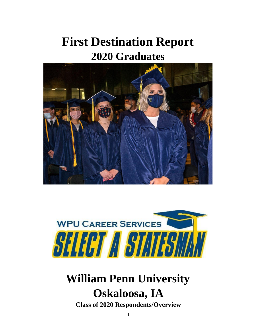# **First Destination Report 2020 Graduates**





# **William Penn University Oskaloosa, IA**

**Class of 2020 Respondents/Overview**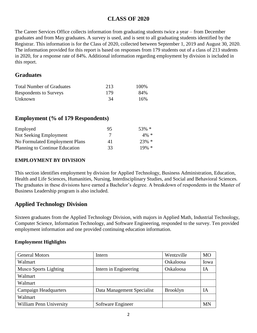## **CLASS OF 2020**

The Career Services Office collects information from graduating students twice a year – from December graduates and from May graduates. A survey is used, and is sent to all graduating students identified by the Registrar. This information is for the Class of 2020, collected between September 1, 2019 and August 30, 2020. The information provided for this report is based on responses from 179 students out of a class of 213 students in 2020, for a response rate of 84%. Additional information regarding employment by division is included in this report.

## **Graduates**

| <b>Total Number of Graduates</b> | 213 | 100\% |
|----------------------------------|-----|-------|
| <b>Respondents to Surveys</b>    | 179 | 84%   |
| Unknown                          | 34  | 16%   |

## **Employment (% of 179 Respondents)**

| Employed                       | 95  | $53\% *$ |
|--------------------------------|-----|----------|
| Not Seeking Employment         |     | $4\% *$  |
| No Formulated Employment Plans | 41  | $23\% *$ |
| Planning to Continue Education | 33. | $19\% *$ |

### **EMPLOYMENT BY DIVISION**

This section identifies employment by division for Applied Technology, Business Administration, Education, Health and Life Sciences, Humanities, Nursing, Interdisciplinary Studies, and Social and Behavioral Sciences. The graduates in these divisions have earned a Bachelor's degree. A breakdown of respondents in the Master of Business Leadership program is also included.

## **Applied Technology Division**

Sixteen graduates from the Applied Technology Division, with majors in Applied Math, Industrial Technology, Computer Science, Information Technology, and Software Engineering, responded to the survey. Ten provided employment information and one provided continuing education information.

| <b>General Motors</b>        | Intern                     | Wentzville      | <b>MO</b> |
|------------------------------|----------------------------|-----------------|-----------|
| Walmart                      |                            | Oskaloosa       | Iowa      |
| <b>Musco Sports Lighting</b> | Intern in Engineering      | Oskaloosa       | IA        |
| Walmart                      |                            |                 |           |
| Walmart                      |                            |                 |           |
| <b>Campaign Headquarters</b> | Data Management Specialist | <b>Brooklyn</b> | IA        |
| Walmart                      |                            |                 |           |
| William Penn University      | Software Engineer          |                 | MN        |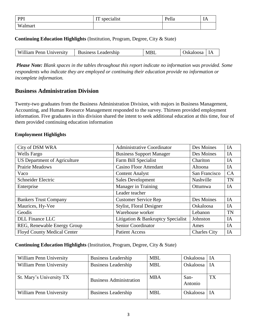| PPI                                 | specialist<br><b>TIT</b><br>TT. | $\mathbf{r}$ 11<br>'епа | .<br>$ -$ |
|-------------------------------------|---------------------------------|-------------------------|-----------|
| $\mathbf{W}$<br>.nar<br>. о.<br>{ } |                                 |                         |           |

#### **Continuing Education Highlights** (Institution, Program, Degree, City & State)

| William Penn University | <b>Business Leadership</b> | M<br>◡ | 'oosa<br>аг | ΙA |
|-------------------------|----------------------------|--------|-------------|----|
|                         |                            |        |             |    |

*Please Note: Blank spaces in the tables throughout this report indicate no information was provided. Some respondents who indicate they are employed or continuing their education provide no information or incomplete information.* 

## **Business Administration Division**

Twenty-two graduates from the Business Administration Division, with majors in Business Management, Accounting, and Human Resource Management responded to the survey. Thirteen provided employment information. Five graduates in this division shared the intent to seek additional education at this time, four of them provided continuing education information

#### **Employment Highlights**

| City of DSM WRA                     | <b>Administrative Coordinator</b>  | Des Moines          | IA        |
|-------------------------------------|------------------------------------|---------------------|-----------|
| <b>Wells Fargo</b>                  | <b>Business Support Manager</b>    | Des Moines          | IA        |
| <b>US Department of Agriculture</b> | Farm Bill Specialist               | Chariton            | IA        |
| <b>Prairie Meadows</b>              | <b>Casino Floor Attendant</b>      | Altoona             | IA        |
| Vaco                                | <b>Content Analyst</b>             | San Francisco       | CA        |
| Schneider Electric                  | <b>Sales Development</b>           | Nashville           | <b>TN</b> |
| Enterprise                          | Manager in Training                | Ottumwa             | IA        |
|                                     | Leader teacher                     |                     |           |
| <b>Bankers Trust Company</b>        | <b>Customer Service Rep</b>        | Des Moines          | IA        |
| Maurices, Hy-Vee                    | <b>Stylist, Floral Designer</b>    | Oskaloosa           | IA        |
| Geodis                              | Warehouse worker                   | Lebanon             | <b>TN</b> |
| <b>DLL</b> Finance LLC              | Litigation & Bankruptcy Specialist | Johnston            | IA        |
| REG, Renewable Energy Group         | Senior Coordinator                 | Ames                | IA        |
| <b>Floyd County Medical Center</b>  | <b>Patient Access</b>              | <b>Charles City</b> | IA        |

#### **Continuing Education Highlights** (Institution, Program, Degree, City & State)

| William Penn University  | <b>Business Leadership</b>     | <b>MBL</b> | Oskaloosa       | ∣ IA      |
|--------------------------|--------------------------------|------------|-----------------|-----------|
| William Penn University  | <b>Business Leadership</b>     | <b>MBL</b> | Oskaloosa   IA  |           |
| St. Mary's University TX | <b>Business Administration</b> | <b>MBA</b> | San-<br>Antonio | <b>TX</b> |
| William Penn University  | <b>Business Leadership</b>     | <b>MBL</b> | Oskaloosa   IA  |           |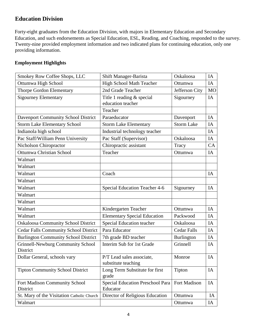## **Education Division**

Forty-eight graduates from the Education Division, with majors in Elementary Education and Secondary Education, and such endorsements as Special Education, ESL, Reading, and Coaching, responded to the survey. Twenty-nine provided employment information and two indicated plans for continuing education, only one providing information.

| Smokey Row Coffee Shops, LLC                         | Shift Manager-Barista                            | Oskaloosa          | IA        |
|------------------------------------------------------|--------------------------------------------------|--------------------|-----------|
| Ottumwa High School                                  | High School Math Teacher                         | Ottumwa            | IA        |
| Thorpe Gordon Elementary                             | 2nd Grade Teacher                                | Jefferson City     | <b>MO</b> |
| <b>Sigourney Elementary</b>                          | Title 1 reading & special<br>education teacher   | Sigourney          | IA        |
|                                                      | Teacher                                          |                    |           |
| <b>Davenport Community School District</b>           | Paraeducator                                     | Davenport          | IA        |
| <b>Storm Lake Elementary School</b>                  | <b>Storm Lake Elementary</b>                     | <b>Storm Lake</b>  | IA        |
| Indianola high school                                | Industrial technology teacher                    |                    | IA        |
| Pac Staff/William Penn University                    | Pac Staff (Supervisor)                           | Oskaloosa          | IA        |
| Nicholson Chiropractor                               | Chiropractic assistant                           | Tracy              | CA        |
| <b>Ottumwa Christian School</b>                      | Teacher                                          | Ottumwa            | IA        |
| Walmart                                              |                                                  |                    |           |
| Walmart                                              |                                                  |                    |           |
| Walmart                                              | Coach                                            |                    | IA        |
| Walmart                                              |                                                  |                    |           |
| Walmart                                              | <b>Special Education Teacher 4-6</b>             | Sigourney          | IA        |
| Walmart                                              |                                                  |                    |           |
| Walmart                                              |                                                  |                    |           |
| Walmart                                              | Kindergarten Teacher                             | Ottumwa            | IA        |
| Walmart                                              | <b>Elementary Special Education</b>              | Packwood           | IA        |
| <b>Oskaloosa Community School District</b>           | Special Education teacher                        | Oskaloosa          | IA        |
| Cedar Falls Community School District                | Para Educator                                    | <b>Cedar Falls</b> | IA        |
| <b>Burlington Community School District</b>          | 7th grade BD teacher                             | Burlington         | IA        |
| <b>Grinnell-Newburg Community School</b><br>District | Interim Sub for 1st Grade                        | Grinnell           | IA        |
| Dollar General, schools vary                         | P/T Lead sales associate,<br>substitute teaching | Monroe             | IA        |
| <b>Tipton Community School District</b>              | Long Term Substitute for first<br>grade          | Tipton             | IA        |
| Fort Madison Community School<br>District            | Special Education Preschool Para<br>Educator     | Fort Madison       | IA        |
| St. Mary of the Visitation Catholic Church           | Director of Religious Education                  | Ottumwa            | IA        |
| Walmart                                              |                                                  | Ottumwa            | IA        |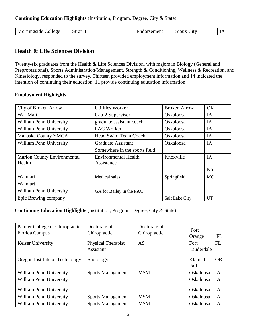**Continuing Education Highlights** (Institution, Program, Degree, City & State)

| əllege<br>ιvι |  | 11 C L L<br>. | . | $\mathbf{L}$ |
|---------------|--|---------------|---|--------------|
|---------------|--|---------------|---|--------------|

## **Health & Life Sciences Division**

Twenty-six graduates from the Health & Life Sciences Division, with majors in Biology (General and Preprofessional), Sports Administration/Management, Strength & Conditioning, Wellness & Recreation, and Kinesiology, responded to the survey. Thirteen provided employment information and 14 indicated the intention of continuing their education, 11 provide continuing education information

#### **Employment Highlights**

| City of Broken Arrow               | <b>Utilities Worker</b>       | <b>Broken Arrow</b>   | OK        |
|------------------------------------|-------------------------------|-----------------------|-----------|
| Wal-Mart                           | Cap-2 Supervisor              | Oskaloosa             | IA        |
| <b>William Penn University</b>     | graduate assistant coach      | <b>Oskaloosa</b>      | IA        |
| <b>William Penn University</b>     | <b>PAC Worker</b>             | <b>Oskaloosa</b>      | IA        |
| Mahaska County YMCA                | Head Swim Team Coach          | <b>Oskaloosa</b>      | IA        |
| <b>William Penn University</b>     | <b>Graduate Assistant</b>     | Oskaloosa             | IA        |
|                                    | Somewhere in the sports field |                       |           |
| <b>Marion County Environmental</b> | <b>Environmental Health</b>   | Knoxville             | IA        |
| Health                             | Assistance                    |                       |           |
|                                    |                               |                       | <b>KS</b> |
| Walmart                            | Medical sales                 | Springfield           | <b>MO</b> |
| Walmart                            |                               |                       |           |
| William Penn University            | GA for Bailey in the PAC      |                       |           |
| Epic Brewing company               |                               | <b>Salt Lake City</b> | UT        |

### **Continuing Education Highlights** (Institution, Program, Degree, City & State)

| Palmer College of Chiropractic<br>Florida Campus | Doctorate of<br>Chiropractic    | Doctorate of<br>Chiropractic | Port<br>Orange         | FL        |
|--------------------------------------------------|---------------------------------|------------------------------|------------------------|-----------|
| <b>Keiser University</b>                         | Physical Therapist<br>Assistant | <b>AS</b>                    | Fort<br>Lauderdale     | FL        |
| Oregon Institute of Technology                   | Radiology                       |                              | Klamath<br><b>Fall</b> | <b>OR</b> |
| William Penn University                          | <b>Sports Management</b>        | <b>MSM</b>                   | Oskaloosa              | IA        |
| <b>William Penn University</b>                   |                                 |                              | Oskaloosa              | IA        |
| <b>William Penn University</b>                   |                                 |                              | Oskaloosa              | IA        |
| <b>William Penn University</b>                   | <b>Sports Management</b>        | <b>MSM</b>                   | Oskaloosa              | IA        |
| <b>William Penn University</b>                   | <b>Sports Management</b>        | <b>MSM</b>                   | <b>Oskaloosa</b>       | IA        |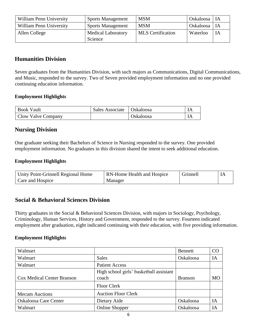| William Penn University | <b>Sports Management</b>  | <b>MSM</b>               | Oskaloosa   IA |      |
|-------------------------|---------------------------|--------------------------|----------------|------|
| William Penn University | <b>Sports Management</b>  | <b>MSM</b>               | Oskaloosa   IA |      |
| Allen College           | <b>Medical Laboratory</b> | <b>MLS</b> Certification | Waterloo       | l IA |
|                         | Science                   |                          |                |      |

## **Humanities Division**

Seven graduates from the Humanities Division, with such majors as Communications, Digital Communications, and Music, responded to the survey. Two of Seven provided employment information and no one provided continuing education information.

#### **Employment Highlights**

| <b>Book Vault</b>  | Sales Associate   Oskaloosa |           |  |
|--------------------|-----------------------------|-----------|--|
| Clow Valve Company |                             | Oskaloosa |  |

## **Nursing Division**

One graduate seeking their Bachelors of Science in Nursing responded to the survey. One provided employment information. No graduates in this division shared the intent to seek additional education.

#### **Employment Highlights**

| Unity Point-Grinnell Regional Home | <b>RN-Home Health and Hospice</b> | Grinnell |  |
|------------------------------------|-----------------------------------|----------|--|
| Care and Hospice                   | Manager                           |          |  |

### **Social & Behavioral Sciences Division**

Thirty graduates in the Social & Behavioral Sciences Division, with majors in Sociology, Psychology, Criminology, Human Services, History and Government, responded to the survey. Fourteen indicated employment after graduation, eight indicated continuing with their education, with five providing information.

| Walmart                           |                                                  | Bennett        | CO |
|-----------------------------------|--------------------------------------------------|----------------|----|
| Walmart                           | <b>Sales</b>                                     | Oskaloosa      | IA |
| Walmart                           | <b>Patient Access</b>                            |                |    |
| <b>Cox Medical Center Branson</b> | High school girls' basketball assistant<br>coach | <b>Branson</b> | MO |
|                                   | <b>Floor Clerk</b>                               |                |    |
| <b>Mecum Auctions</b>             | <b>Auction Floor Clerk</b>                       |                |    |
| <b>Oskaloosa Care Center</b>      | Dietary Aide                                     | Oskaloosa      | IA |
| Walmart                           | <b>Online Shopper</b>                            | Oskaloosa      | ĪА |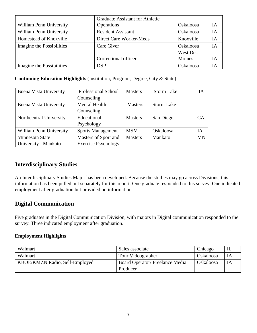|                                | <b>Graduate Assistant for Athletic</b> |           |    |
|--------------------------------|----------------------------------------|-----------|----|
| <b>William Penn University</b> | Operations                             | Oskaloosa | IА |
| William Penn University        | <b>Resident Assistant</b>              | Oskaloosa | IА |
| Homestead of Knoxville         | Direct Care Worker-Meds                | Knoxville | ĪА |
| Imagine the Possibilities      | Care Giver                             | Oskaloosa | IА |
|                                |                                        | West Des  |    |
|                                | Correctional officer                   | Moines    | IΑ |
| Imagine the Possibilities      | <b>DSP</b>                             | Oskaloosa | IА |

#### **Continuing Education Highlights** (Institution, Program, Degree, City & State)

| Buena Vista University  | <b>Professional School</b> | <b>Masters</b> | <b>Storm Lake</b> | IА        |
|-------------------------|----------------------------|----------------|-------------------|-----------|
|                         | Counseling                 |                |                   |           |
| Buena Vista University  | <b>Mental Health</b>       | <b>Masters</b> | <b>Storm Lake</b> |           |
|                         | Counseling                 |                |                   |           |
| Northcentral University | Educational                | <b>Masters</b> | San Diego         | CA        |
|                         | Psychology                 |                |                   |           |
| William Penn University | <b>Sports Management</b>   | <b>MSM</b>     | Oskaloosa         | IΑ        |
| Minnesota State         | Masters of Sport and       | <b>Masters</b> | Mankato           | <b>MN</b> |
| University - Mankato    | <b>Exercise Psychology</b> |                |                   |           |

## **Interdisciplinary Studies**

An Interdisciplinary Studies Major has been developed. Because the studies may go across Divisions, this information has been pulled out separately for this report. One graduate responded to this survey. One indicated employment after graduation but provided no information

## **Digital Communication**

Five graduates in the Digital Communication Division, with majors in Digital communication responded to the survey. Three indicated employment after graduation.

| Walmart                        | Sales associate                       | Chicago          |  |
|--------------------------------|---------------------------------------|------------------|--|
| Walmart                        | Tour Videographer                     | Oskaloosa        |  |
| KBOE/KMZN Radio, Self-Employed | <b>Board Operator/Freelance Media</b> | <b>Oskaloosa</b> |  |
|                                | Producer                              |                  |  |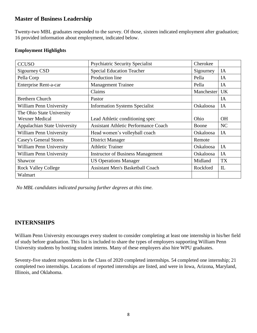## **Master of Business Leadership**

Twenty-two MBL graduates responded to the survey. Of those, sixteen indicated employment after graduation; 16 provided information about employment, indicated below.

#### **Employment Highlights**

| <b>CCUSO</b>                   | <b>Psychiatric Security Specialist</b>      | Cherokee   |           |
|--------------------------------|---------------------------------------------|------------|-----------|
| Sigourney CSD                  | <b>Special Education Teacher</b>            | Sigourney  | IA        |
| Pella Corp                     | Production line                             | Pella      | IA        |
| Enterprise Rent-a-car          | <b>Management Trainee</b>                   | Pella      | IA        |
|                                | Claims                                      | Manchester | <b>UK</b> |
| <b>Brethern Church</b>         | Pastor                                      |            | IA        |
| <b>William Penn University</b> | <b>Information Systems Specialist</b>       | Oskaloosa  | IA        |
| The Ohio State University      |                                             |            |           |
| <b>Wexner Medical</b>          | Lead Athletic conditioning spec             | Ohio       | <b>OH</b> |
| Appalachian State University   | <b>Assistant Athletic Performance Coach</b> | Boone      | NC        |
| William Penn University        | Head women's volleyball coach               | Oskaloosa  | IA        |
| <b>Casey's General Stores</b>  | <b>District Manager</b>                     | Remote     |           |
| <b>William Penn University</b> | <b>Athletic Trainer</b>                     | Oskaloosa  | IA        |
| <b>William Penn University</b> | <b>Instructor of Business Management</b>    | Oskaloosa  | IA        |
| Shawcor                        | <b>US Operations Manager</b>                | Midland    | <b>TX</b> |
| <b>Rock Valley College</b>     | <b>Assistant Men's Basketball Coach</b>     | Rockford   | IL        |
| Walmart                        |                                             |            |           |

*No MBL candidates indicated pursuing further degrees at this time.* 

## **INTERNSHIPS**

William Penn University encourages every student to consider completing at least one internship in his/her field of study before graduation. This list is included to share the types of employers supporting William Penn University students by hosting student interns. Many of these employers also hire WPU graduates.

Seventy-five student respondents in the Class of 2020 completed internships. 54 completed one internship; 21 completed two internships. Locations of reported internships are listed, and were in Iowa, Arizona, Maryland, Illinois, and Oklahoma.